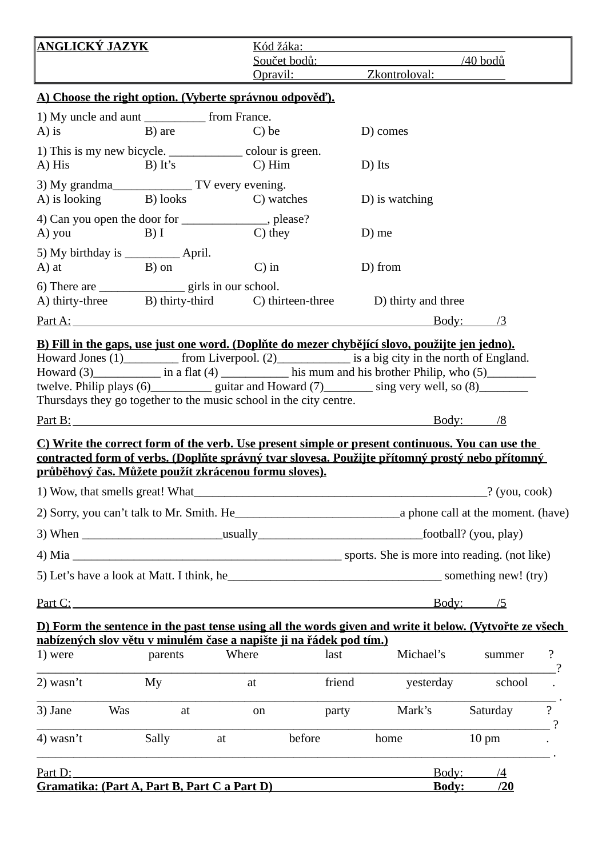| <u>ANGLICKÝ JAZYK</u>                                                                                                                                                        |                                                                         |            | Kód žáka:                                                   |                                      |                 |                 |  |  |  |
|------------------------------------------------------------------------------------------------------------------------------------------------------------------------------|-------------------------------------------------------------------------|------------|-------------------------------------------------------------|--------------------------------------|-----------------|-----------------|--|--|--|
|                                                                                                                                                                              |                                                                         |            | Součet bodů:<br>Opravil:                                    | $\frac{1}{40}$ bodů<br>Zkontroloval: |                 |                 |  |  |  |
|                                                                                                                                                                              |                                                                         |            |                                                             |                                      |                 |                 |  |  |  |
| A) Choose the right option. (Vyberte správnou odpověď).<br>1) My uncle and aunt ______________ from France.                                                                  |                                                                         |            |                                                             |                                      |                 |                 |  |  |  |
| $(A)$ is                                                                                                                                                                     | B) are                                                                  | C) be      |                                                             | D) comes                             |                 |                 |  |  |  |
| 1) This is my new bicycle. ____________________ colour is green.                                                                                                             |                                                                         |            |                                                             |                                      |                 |                 |  |  |  |
| A) His                                                                                                                                                                       | B) It's C) Him                                                          |            |                                                             | D) Its                               |                 |                 |  |  |  |
| A) is looking B) looks C) watches                                                                                                                                            |                                                                         |            |                                                             | D) is watching                       |                 |                 |  |  |  |
| 4) Can you open the door for ________________, please?                                                                                                                       |                                                                         |            |                                                             |                                      |                 |                 |  |  |  |
| A) you B) I                                                                                                                                                                  |                                                                         | $C$ ) they |                                                             | D) me                                |                 |                 |  |  |  |
|                                                                                                                                                                              |                                                                         |            |                                                             |                                      |                 |                 |  |  |  |
| A) at                                                                                                                                                                        | B) on                                                                   | $C$ ) in   |                                                             | D) from                              |                 |                 |  |  |  |
| A) thirty-three B) thirty-third C) thirteen-three D) thirty and three                                                                                                        |                                                                         |            |                                                             |                                      |                 |                 |  |  |  |
|                                                                                                                                                                              |                                                                         |            |                                                             |                                      | Body: /3        |                 |  |  |  |
| B) Fill in the gaps, use just one word. (Doplňte do mezer chybějící slovo, použijte jen jedno).                                                                              |                                                                         |            |                                                             |                                      |                 |                 |  |  |  |
| Howard Jones (1) ___________ from Liverpool. (2)_______________ is a big city in the north of England.                                                                       |                                                                         |            |                                                             |                                      |                 |                 |  |  |  |
| Howard (3) in a flat (4) his mum and his brother Philip, who (5)<br>twelve. Philip plays (6)______________ guitar and Howard (7)__________ sing very well, so (8)___________ |                                                                         |            |                                                             |                                      |                 |                 |  |  |  |
| Thursdays they go together to the music school in the city centre.                                                                                                           |                                                                         |            |                                                             |                                      |                 |                 |  |  |  |
|                                                                                                                                                                              |                                                                         |            |                                                             |                                      | <u>Body: /8</u> |                 |  |  |  |
| C) Write the correct form of the verb. Use present simple or present continuous. You can use the                                                                             |                                                                         |            |                                                             |                                      |                 |                 |  |  |  |
| contracted form of verbs. (Doplňte správný tvar slovesa. Použijte přítomný prostý nebo přítomný<br>průběhový čas. Můžete použít zkrácenou formu sloves).                     |                                                                         |            |                                                             |                                      |                 |                 |  |  |  |
|                                                                                                                                                                              |                                                                         |            |                                                             |                                      |                 |                 |  |  |  |
|                                                                                                                                                                              |                                                                         |            |                                                             |                                      |                 |                 |  |  |  |
|                                                                                                                                                                              |                                                                         |            |                                                             |                                      |                 |                 |  |  |  |
|                                                                                                                                                                              |                                                                         |            |                                                             |                                      |                 |                 |  |  |  |
|                                                                                                                                                                              |                                                                         |            |                                                             |                                      |                 |                 |  |  |  |
| <u>Part C:</u>                                                                                                                                                               |                                                                         |            |                                                             |                                      | Body: /5        |                 |  |  |  |
| D) Form the sentence in the past tense using all the words given and write it below. (Vytvořte ze všech                                                                      |                                                                         |            |                                                             |                                      |                 |                 |  |  |  |
| nabízených slov větu v minulém čase a napište ji na řádek pod tím.)<br>1) were                                                                                               | parents                                                                 | Where      | last                                                        | Michael's                            | summer          | $\ddot{\cdot}$  |  |  |  |
|                                                                                                                                                                              |                                                                         |            |                                                             |                                      |                 |                 |  |  |  |
| $2)$ wasn't                                                                                                                                                                  | My                                                                      | at         | friend                                                      | yesterday                            | school          |                 |  |  |  |
| 3) Jane<br>Was                                                                                                                                                               | at                                                                      | on         | party                                                       | Mark's                               | Saturday        | $\ddot{ }$<br>ን |  |  |  |
| $4)$ wasn't                                                                                                                                                                  | Sally                                                                   | at         | before                                                      | home                                 | $10 \text{ pm}$ |                 |  |  |  |
| Part D:                                                                                                                                                                      | <u> 1989 - Johann John Stoff, amerikan besteckte statistik († 1908)</u> |            | <u> 1980 - Johann Stoff, amerikansk politiker (d. 1980)</u> | Body:                                | $\sqrt{4}$      |                 |  |  |  |
| Gramatika: (Part A, Part B, Part C a Part D)                                                                                                                                 |                                                                         |            |                                                             |                                      | Body:<br>/20    |                 |  |  |  |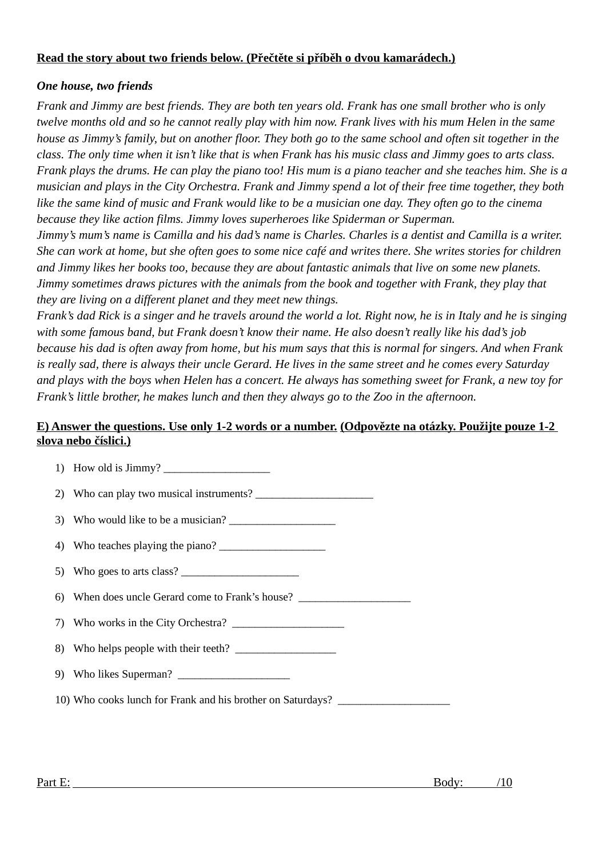## **Read the story about two friends below. (Přečtěte si příběh o dvou kamarádech.)**

## *One house, two friends*

*Frank and Jimmy are best friends. They are both ten years old. Frank has one small brother who is only twelve months old and so he cannot really play with him now. Frank lives with his mum Helen in the same house as Jimmy's family, but on another floor. They both go to the same school and often sit together in the class. The only time when it isn't like that is when Frank has his music class and Jimmy goes to arts class. Frank plays the drums. He can play the piano too! His mum is a piano teacher and she teaches him. She is a musician and plays in the City Orchestra. Frank and Jimmy spend a lot of their free time together, they both like the same kind of music and Frank would like to be a musician one day. They often go to the cinema because they like action films. Jimmy loves superheroes like Spiderman or Superman.* 

*Jimmy's mum's name is Camilla and his dad's name is Charles. Charles is a dentist and Camilla is a writer. She can work at home, but she often goes to some nice café and writes there. She writes stories for children and Jimmy likes her books too, because they are about fantastic animals that live on some new planets. Jimmy sometimes draws pictures with the animals from the book and together with Frank, they play that they are living on a different planet and they meet new things.*

*Frank's dad Rick is a singer and he travels around the world a lot. Right now, he is in Italy and he is singing with some famous band, but Frank doesn't know their name. He also doesn't really like his dad's job because his dad is often away from home, but his mum says that this is normal for singers. And when Frank is really sad, there is always their uncle Gerard. He lives in the same street and he comes every Saturday and plays with the boys when Helen has a concert. He always has something sweet for Frank, a new toy for Frank's little brother, he makes lunch and then they always go to the Zoo in the afternoon.*

## **E) Answer the questions. Use only 1-2 words or a number. (Odpovězte na otázky. Použijte pouze 1-2 slova nebo číslici.)**

| 1) How old is Jimmy?                                        |
|-------------------------------------------------------------|
| 2) Who can play two musical instruments?                    |
| 3) Who would like to be a musician?                         |
|                                                             |
| 5) Who goes to arts class?                                  |
| 6) When does uncle Gerard come to Frank's house?            |
|                                                             |
|                                                             |
|                                                             |
| 10) Who cooks lunch for Frank and his brother on Saturdays? |
|                                                             |